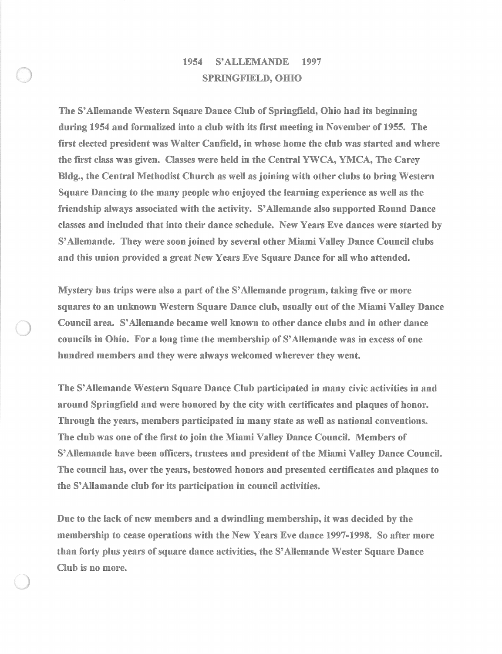## 1954 S' ALLEMANDE 1997 SPRINGFIELD, OHIO

The S' Allemande Western Square Dance Club of Springfield, Ohio had its beginning during 1954 and formalized into a club with its first meeting in November of 1955. The first elected president was Walter Canfield, in whose home the club was started and where the first class was given. Classes were held in the Central YWCA, YMCA, The Carey Bldg., the Central Methodist Church as well as joining with other clubs to bring Western Square Dancing to the many people who enjoyed the learning experience as well as the friendship always associated with the activity. S' Allemande also supported Round Dance classes and included that into their dance schedule. New Years Eve dances were started by S' Allemande. They were soon joined by several other Miami Valley Dance Council clubs and this union provided a great New Years Eve Square Dance for all who attended.

Mystery bus trips were also a part of the S' Allemande program, taking five or more squares to an unknown Western Square Dance club, usually out of the Miami Valley Dance Council area. S' Allemande became well known to other dance clubs and in other dance councils in Ohio. For a long time the membership of S' Allemande was in excess of one hundred members and they were always welcomed wherever they went.

The S' Allemande Western Square Dance Club participated in many civic activities in and around Springfield and were honored by the city with certificates and plaques of honor. Through the years, members participated in many state as well as national conventions. The club was one of the first to join the Miami Valley Dance Council. Members of S' Allemande have been officers, trustees and president of the Miami Valley Dance Council. The council has, over the years, bestowed honors and presented certificates and plaques to the S' Allamande club for its participation in council activities.

Due to the lack of new members and a dwindling membership, it was decided by the membership to cease operations with the New Years Eve dance 1997-1998. So after more than forty plus years of square dance activities, the S' Allemande Wester Square Dance Club is no more.